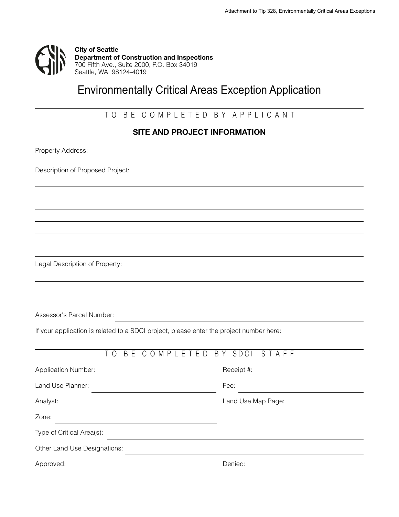

# Environmentally Critical Areas Exception Application

## TO BE COMPLETED BY APPLICANT

#### **SITE AND PROJECT INFORMATION**

<u> 1980 - Johann Barn, fransk politik fotograf (d. 1980)</u>

Property Address:

Description of Proposed Project:

Legal Description of Property:

Assessor's Parcel Number:

|  |  | If your application is related to a SDCI project, please enter the project number here: |
|--|--|-----------------------------------------------------------------------------------------|
|  |  |                                                                                         |
|  |  |                                                                                         |

| ΤO                           | BE COMPLETED BY SDCI STAFF |                    |  |  |  |
|------------------------------|----------------------------|--------------------|--|--|--|
| <b>Application Number:</b>   |                            | Receipt #:         |  |  |  |
| Land Use Planner:            |                            | Fee:               |  |  |  |
| Analyst:                     |                            | Land Use Map Page: |  |  |  |
| Zone:                        |                            |                    |  |  |  |
| Type of Critical Area(s):    |                            |                    |  |  |  |
| Other Land Use Designations: |                            |                    |  |  |  |
| Approved:                    |                            | Denied:            |  |  |  |

<u> 1989 - Johann Barn, mars ann an t-Amhain Aonaich an t-Aonaich an t-Aonaich ann an t-Aonaich ann an t-Aonaich</u>